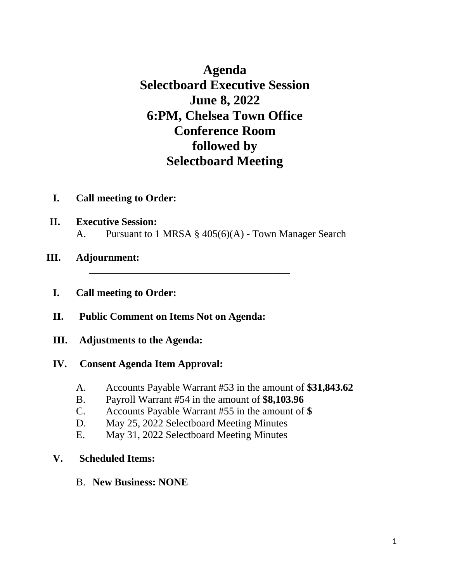**Agenda Selectboard Executive Session June 8, 2022 6:PM, Chelsea Town Office Conference Room followed by Selectboard Meeting**

- **I. Call meeting to Order:**
- **II. Executive Session:** A. Pursuant to 1 MRSA § 405(6)(A) - Town Manager Search

**\_\_\_\_\_\_\_\_\_\_\_\_\_\_\_\_\_\_\_\_\_\_\_\_\_\_\_\_\_\_\_\_\_\_\_\_\_\_\_**

- **III. Adjournment:**
	- **I. Call meeting to Order:**
	- **II. Public Comment on Items Not on Agenda:**
	- **III. Adjustments to the Agenda:**

#### **IV. Consent Agenda Item Approval:**

- A. Accounts Payable Warrant #53 in the amount of **\$31,843.62**
- B. Payroll Warrant #54 in the amount of **\$8,103.96**
- C. Accounts Payable Warrant #55 in the amount of **\$**
- D. May 25, 2022 Selectboard Meeting Minutes
- E. May 31, 2022 Selectboard Meeting Minutes

#### **V. Scheduled Items:**

B. **New Business: NONE**